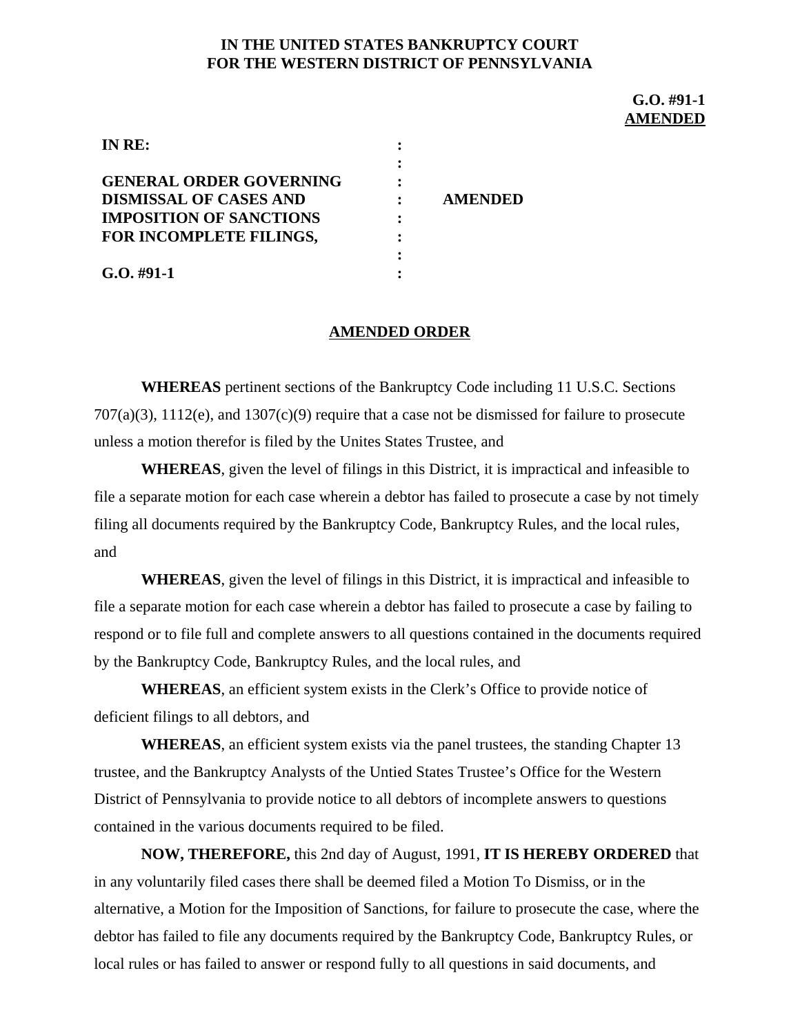## **IN THE UNITED STATES BANKRUPTCY COURT FOR THE WESTERN DISTRICT OF PENNSYLVANIA**

**G.O. #91-1 AMENDED**

| IN RE:                         |   |                |
|--------------------------------|---|----------------|
|                                |   |                |
| <b>GENERAL ORDER GOVERNING</b> |   |                |
| <b>DISMISSAL OF CASES AND</b>  |   | <b>AMENDED</b> |
| <b>IMPOSITION OF SANCTIONS</b> | : |                |
| FOR INCOMPLETE FILINGS,        |   |                |
|                                |   |                |
| $G.0.#91-1$                    |   |                |

## **AMENDED ORDER**

**WHEREAS** pertinent sections of the Bankruptcy Code including 11 U.S.C. Sections 707(a)(3), 1112(e), and 1307(c)(9) require that a case not be dismissed for failure to prosecute unless a motion therefor is filed by the Unites States Trustee, and

**WHEREAS**, given the level of filings in this District, it is impractical and infeasible to file a separate motion for each case wherein a debtor has failed to prosecute a case by not timely filing all documents required by the Bankruptcy Code, Bankruptcy Rules, and the local rules, and

**WHEREAS**, given the level of filings in this District, it is impractical and infeasible to file a separate motion for each case wherein a debtor has failed to prosecute a case by failing to respond or to file full and complete answers to all questions contained in the documents required by the Bankruptcy Code, Bankruptcy Rules, and the local rules, and

**WHEREAS**, an efficient system exists in the Clerk's Office to provide notice of deficient filings to all debtors, and

**WHEREAS**, an efficient system exists via the panel trustees, the standing Chapter 13 trustee, and the Bankruptcy Analysts of the Untied States Trustee's Office for the Western District of Pennsylvania to provide notice to all debtors of incomplete answers to questions contained in the various documents required to be filed.

**NOW, THEREFORE,** this 2nd day of August, 1991, **IT IS HEREBY ORDERED** that in any voluntarily filed cases there shall be deemed filed a Motion To Dismiss, or in the alternative, a Motion for the Imposition of Sanctions, for failure to prosecute the case, where the debtor has failed to file any documents required by the Bankruptcy Code, Bankruptcy Rules, or local rules or has failed to answer or respond fully to all questions in said documents, and